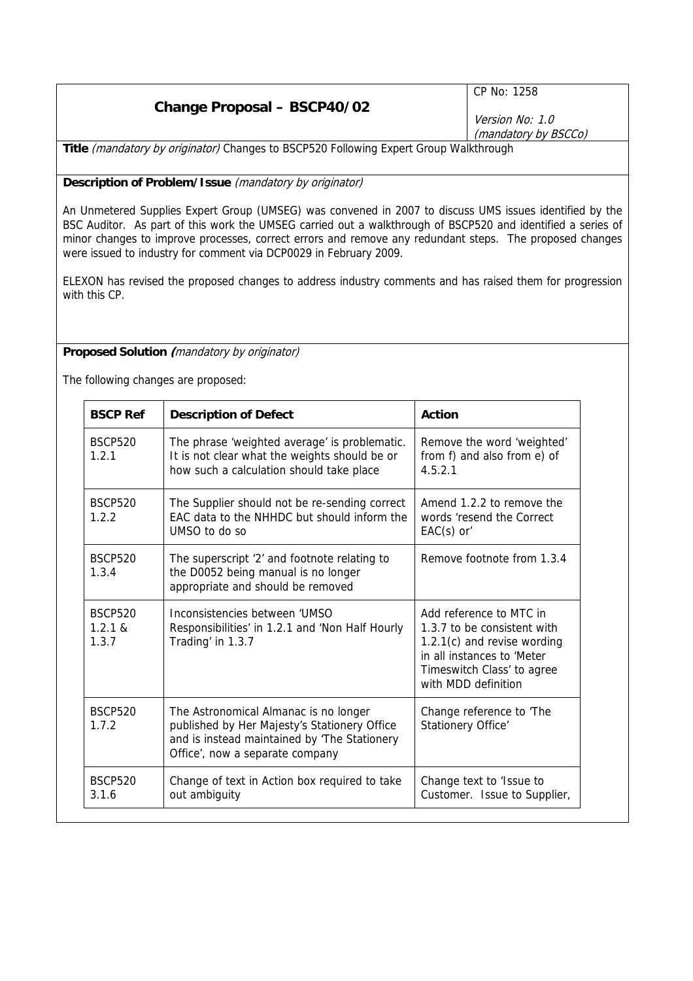|                                                                                       | $\mid$ CP No: 1258   |
|---------------------------------------------------------------------------------------|----------------------|
| <b>Change Proposal - BSCP40/02</b>                                                    | Version No: 1.0      |
|                                                                                       | (mandatory by BSCCo) |
| Title (mandatory by originator) Changes to BSCP520 Following Expert Group Walkthrough |                      |

**Description of Problem/Issue** (mandatory by originator)

An Unmetered Supplies Expert Group (UMSEG) was convened in 2007 to discuss UMS issues identified by the BSC Auditor. As part of this work the UMSEG carried out a walkthrough of BSCP520 and identified a series of minor changes to improve processes, correct errors and remove any redundant steps. The proposed changes were issued to industry for comment via DCP0029 in February 2009.

ELEXON has revised the proposed changes to address industry comments and has raised them for progression with this CP.

## **Proposed Solution (**mandatory by originator)

The following changes are proposed:

| <b>BSCP Ref</b>                              | <b>Description of Defect</b>                                                                                                                                             | Action                                                                                                                                                                     |
|----------------------------------------------|--------------------------------------------------------------------------------------------------------------------------------------------------------------------------|----------------------------------------------------------------------------------------------------------------------------------------------------------------------------|
| <b>BSCP520</b><br>1.2.1                      | The phrase 'weighted average' is problematic.<br>It is not clear what the weights should be or<br>how such a calculation should take place                               | Remove the word 'weighted'<br>from f) and also from e) of<br>4521                                                                                                          |
| <b>BSCP520</b><br>1.2.2                      | The Supplier should not be re-sending correct<br>EAC data to the NHHDC but should inform the<br>UMSO to do so                                                            | Amend 1.2.2 to remove the<br>words 'resend the Correct<br>$EAC(s)$ or                                                                                                      |
| <b>BSCP520</b><br>1.3.4                      | The superscript '2' and footnote relating to<br>the D0052 being manual is no longer<br>appropriate and should be removed                                                 | Remove footnote from 1.3.4                                                                                                                                                 |
| <b>BSCP520</b><br>$1.2.1 \text{ R}$<br>1.3.7 | Inconsistencies between 'UMSO<br>Responsibilities' in 1.2.1 and 'Non Half Hourly<br>Trading' in 1.3.7                                                                    | Add reference to MTC in<br>1.3.7 to be consistent with<br>$1.2.1(c)$ and revise wording<br>in all instances to 'Meter<br>Timeswitch Class' to agree<br>with MDD definition |
| <b>BSCP520</b><br>1.7.2                      | The Astronomical Almanac is no longer<br>published by Her Majesty's Stationery Office<br>and is instead maintained by 'The Stationery<br>Office', now a separate company | Change reference to 'The<br>Stationery Office'                                                                                                                             |
| <b>BSCP520</b><br>3.1.6                      | Change of text in Action box required to take<br>out ambiguity                                                                                                           | Change text to 'Issue to<br>Customer. Issue to Supplier,                                                                                                                   |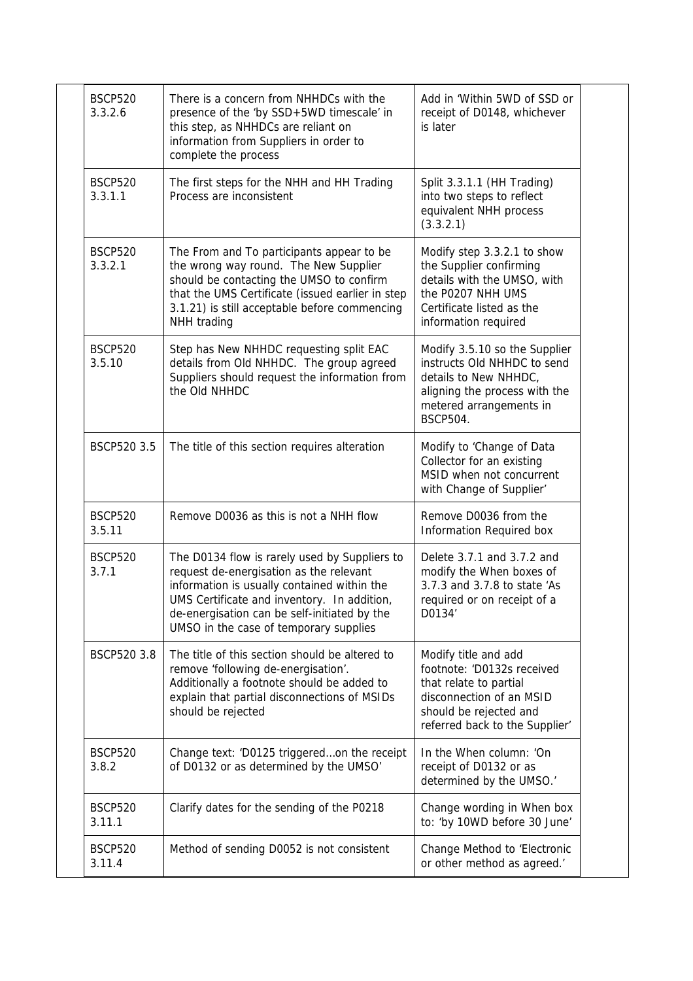| <b>BSCP520</b><br>3.3.2.6 | There is a concern from NHHDCs with the<br>presence of the 'by SSD+5WD timescale' in<br>this step, as NHHDCs are reliant on<br>information from Suppliers in order to<br>complete the process                                                                                    | Add in 'Within 5WD of SSD or<br>receipt of D0148, whichever<br>is later                                                                                              |
|---------------------------|----------------------------------------------------------------------------------------------------------------------------------------------------------------------------------------------------------------------------------------------------------------------------------|----------------------------------------------------------------------------------------------------------------------------------------------------------------------|
| <b>BSCP520</b><br>3.3.1.1 | The first steps for the NHH and HH Trading<br>Process are inconsistent                                                                                                                                                                                                           | Split 3.3.1.1 (HH Trading)<br>into two steps to reflect<br>equivalent NHH process<br>(3.3.2.1)                                                                       |
| <b>BSCP520</b><br>3.3.2.1 | The From and To participants appear to be<br>the wrong way round. The New Supplier<br>should be contacting the UMSO to confirm<br>that the UMS Certificate (issued earlier in step<br>3.1.21) is still acceptable before commencing<br>NHH trading                               | Modify step 3.3.2.1 to show<br>the Supplier confirming<br>details with the UMSO, with<br>the P0207 NHH UMS<br>Certificate listed as the<br>information required      |
| <b>BSCP520</b><br>3.5.10  | Step has New NHHDC requesting split EAC<br>details from Old NHHDC. The group agreed<br>Suppliers should request the information from<br>the Old NHHDC                                                                                                                            | Modify 3.5.10 so the Supplier<br>instructs Old NHHDC to send<br>details to New NHHDC,<br>aligning the process with the<br>metered arrangements in<br><b>BSCP504.</b> |
| BSCP520 3.5               | The title of this section requires alteration                                                                                                                                                                                                                                    | Modify to 'Change of Data<br>Collector for an existing<br>MSID when not concurrent<br>with Change of Supplier'                                                       |
| <b>BSCP520</b><br>3.5.11  | Remove D0036 as this is not a NHH flow                                                                                                                                                                                                                                           | Remove D0036 from the<br>Information Required box                                                                                                                    |
| <b>BSCP520</b><br>3.7.1   | The D0134 flow is rarely used by Suppliers to<br>request de-energisation as the relevant<br>information is usually contained within the<br>UMS Certificate and inventory. In addition,<br>de-energisation can be self-initiated by the<br>UMSO in the case of temporary supplies | Delete 3.7.1 and 3.7.2 and<br>modify the When boxes of<br>3.7.3 and 3.7.8 to state 'As<br>required or on receipt of a<br>D0134                                       |
| BSCP520 3.8               | The title of this section should be altered to<br>remove 'following de-energisation'.<br>Additionally a footnote should be added to<br>explain that partial disconnections of MSIDs<br>should be rejected                                                                        | Modify title and add<br>footnote: 'D0132s received<br>that relate to partial<br>disconnection of an MSID<br>should be rejected and<br>referred back to the Supplier' |
| <b>BSCP520</b><br>3.8.2   | Change text: 'D0125 triggeredon the receipt<br>of D0132 or as determined by the UMSO'                                                                                                                                                                                            | In the When column: 'On<br>receipt of D0132 or as<br>determined by the UMSO.'                                                                                        |
| <b>BSCP520</b><br>3.11.1  | Clarify dates for the sending of the P0218                                                                                                                                                                                                                                       | Change wording in When box<br>to: 'by 10WD before 30 June'                                                                                                           |
| <b>BSCP520</b><br>3.11.4  | Method of sending D0052 is not consistent                                                                                                                                                                                                                                        | Change Method to 'Electronic<br>or other method as agreed.'                                                                                                          |